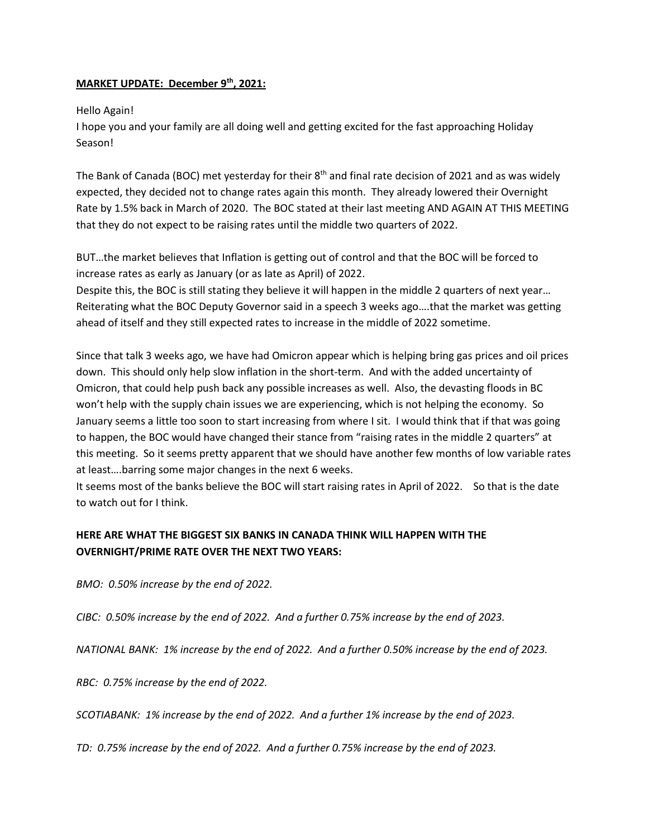## **MARKET UPDATE: December 9th, 2021:**

## Hello Again!

I hope you and your family are all doing well and getting excited for the fast approaching Holiday Season!

The Bank of Canada (BOC) met yesterday for their 8<sup>th</sup> and final rate decision of 2021 and as was widely expected, they decided not to change rates again this month. They already lowered their Overnight Rate by 1.5% back in March of 2020. The BOC stated at their last meeting AND AGAIN AT THIS MEETING that they do not expect to be raising rates until the middle two quarters of 2022.

BUT…the market believes that Inflation is getting out of control and that the BOC will be forced to increase rates as early as January (or as late as April) of 2022.

Despite this, the BOC is still stating they believe it will happen in the middle 2 quarters of next year… Reiterating what the BOC Deputy Governor said in a speech 3 weeks ago….that the market was getting ahead of itself and they still expected rates to increase in the middle of 2022 sometime.

Since that talk 3 weeks ago, we have had Omicron appear which is helping bring gas prices and oil prices down. This should only help slow inflation in the short-term. And with the added uncertainty of Omicron, that could help push back any possible increases as well. Also, the devasting floods in BC won't help with the supply chain issues we are experiencing, which is not helping the economy. So January seems a little too soon to start increasing from where I sit. I would think that if that was going to happen, the BOC would have changed their stance from "raising rates in the middle 2 quarters" at this meeting. So it seems pretty apparent that we should have another few months of low variable rates at least….barring some major changes in the next 6 weeks.

It seems most of the banks believe the BOC will start raising rates in April of 2022. So that is the date to watch out for I think.

## **HERE ARE WHAT THE BIGGEST SIX BANKS IN CANADA THINK WILL HAPPEN WITH THE OVERNIGHT/PRIME RATE OVER THE NEXT TWO YEARS:**

*BMO: 0.50% increase by the end of 2022.*

*CIBC: 0.50% increase by the end of 2022. And a further 0.75% increase by the end of 2023.*

*NATIONAL BANK: 1% increase by the end of 2022. And a further 0.50% increase by the end of 2023.*

*RBC: 0.75% increase by the end of 2022.* 

*SCOTIABANK: 1% increase by the end of 2022. And a further 1% increase by the end of 2023.*

*TD: 0.75% increase by the end of 2022. And a further 0.75% increase by the end of 2023.*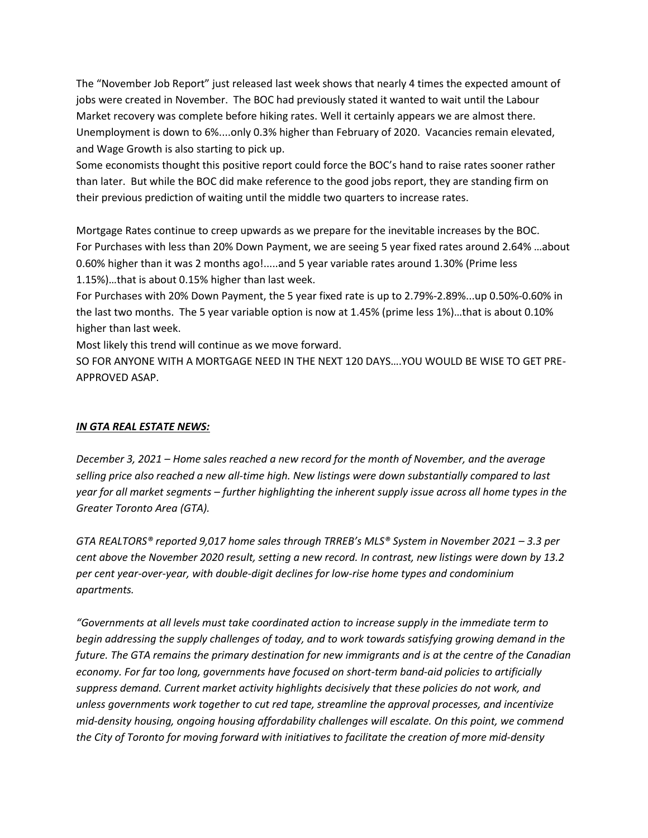The "November Job Report" just released last week shows that nearly 4 times the expected amount of jobs were created in November. The BOC had previously stated it wanted to wait until the Labour Market recovery was complete before hiking rates. Well it certainly appears we are almost there. Unemployment is down to 6%....only 0.3% higher than February of 2020. Vacancies remain elevated, and Wage Growth is also starting to pick up.

Some economists thought this positive report could force the BOC's hand to raise rates sooner rather than later. But while the BOC did make reference to the good jobs report, they are standing firm on their previous prediction of waiting until the middle two quarters to increase rates.

Mortgage Rates continue to creep upwards as we prepare for the inevitable increases by the BOC. For Purchases with less than 20% Down Payment, we are seeing 5 year fixed rates around 2.64% …about 0.60% higher than it was 2 months ago!.....and 5 year variable rates around 1.30% (Prime less 1.15%)…that is about 0.15% higher than last week.

For Purchases with 20% Down Payment, the 5 year fixed rate is up to 2.79%-2.89%...up 0.50%-0.60% in the last two months. The 5 year variable option is now at 1.45% (prime less 1%)…that is about 0.10% higher than last week.

Most likely this trend will continue as we move forward.

SO FOR ANYONE WITH A MORTGAGE NEED IN THE NEXT 120 DAYS….YOU WOULD BE WISE TO GET PRE-APPROVED ASAP.

## *IN GTA REAL ESTATE NEWS:*

*December 3, 2021 – Home sales reached a new record for the month of November, and the average selling price also reached a new all-time high. New listings were down substantially compared to last year for all market segments – further highlighting the inherent supply issue across all home types in the Greater Toronto Area (GTA).* 

*GTA REALTORS® reported 9,017 home sales through TRREB's MLS® System in November 2021 – 3.3 per cent above the November 2020 result, setting a new record. In contrast, new listings were down by 13.2 per cent year-over-year, with double-digit declines for low-rise home types and condominium apartments.* 

*"Governments at all levels must take coordinated action to increase supply in the immediate term to begin addressing the supply challenges of today, and to work towards satisfying growing demand in the future. The GTA remains the primary destination for new immigrants and is at the centre of the Canadian economy. For far too long, governments have focused on short-term band-aid policies to artificially suppress demand. Current market activity highlights decisively that these policies do not work, and unless governments work together to cut red tape, streamline the approval processes, and incentivize mid-density housing, ongoing housing affordability challenges will escalate. On this point, we commend the City of Toronto for moving forward with initiatives to facilitate the creation of more mid-density*